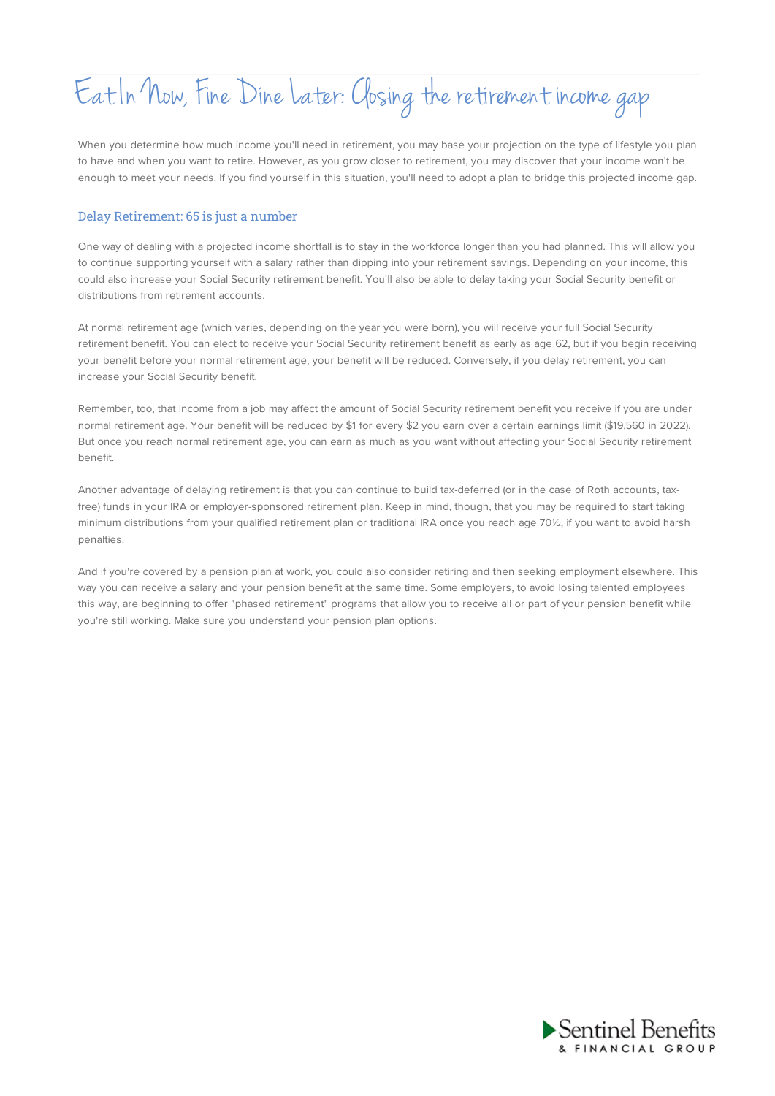# Eat In Now, Fine Dine Later:Closing the retirement income gap

When you determine how much income you'll need in retirement, you may base your projection on the type of lifestyle you plan to have and when you want to retire. However, as you grow closer to retirement, you may discover that your income won't be enough to meet your needs. If you find yourself in this situation, you'll need to adopt a plan to bridge this projected income gap.

# Delay Retirement: 65 is just a number

One way of dealing with a projected income shortfall is to stay in the workforce longer than you had planned. This will allow you to continue supporting yourself with a salary rather than dipping into your retirement savings. Depending on your income, this could also increase your Social Security retirement benefit. You'll also be able to delay taking your Social Security benefit or distributions from retirement accounts.

At normal retirement age (which varies, depending on the year you were born), you will receive your full Social Security retirement benefit. You can elect to receive your Social Security retirement benefit as early as age 62, but if you begin receiving your benefit before your normal retirement age, your benefit will be reduced. Conversely, if you delay retirement, you can increase your Social Security benefit.

Remember, too, that income from a job may affect the amount of Social Security retirement benefit you receive if you are under normal retirement age. Your benefit will be reduced by \$1 for every \$2 you earn over a certain earnings limit (\$19,560 in 2022). But once you reach normal retirement age, you can earn as much as you want without affecting your Social Security retirement benefit.

Another advantage of delaying retirement is that you can continue to build tax-deferred (or in the case of Roth accounts, taxfree) funds in your IRA or employer-sponsored retirement plan. Keep in mind, though, that you may be required to start taking minimum distributions from your qualified retirement plan or traditional IRA once you reach age 70½, if you want to avoid harsh penalties.

And if you're covered by a pension plan at work, you could also consider retiring and then seeking employment elsewhere. This way you can receive a salary and your pension benefit at the same time. Some employers, to avoid losing talented employees this way, are beginning to offer "phased retirement" programs that allow you to receive all or part of your pension benefit while you're still working. Make sure you understand your pension plan options.

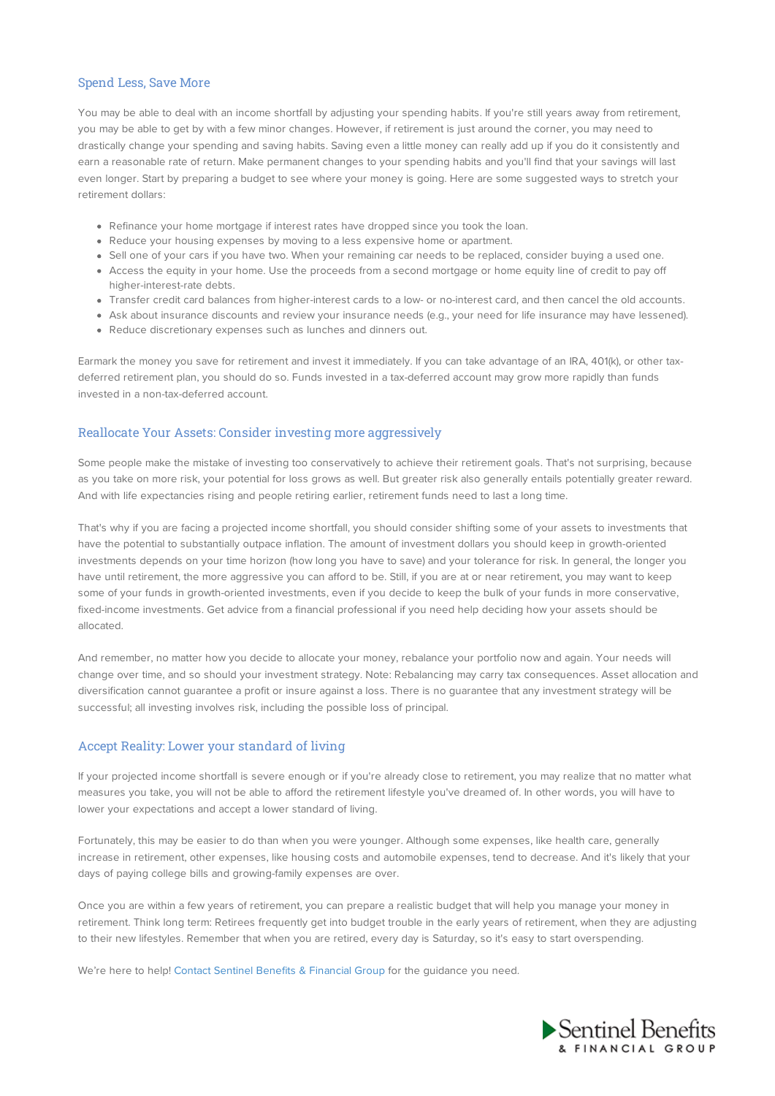# Spend Less, Save More

You may be able to deal with an income shortfall by adjusting your spending habits. If you're still years away from retirement, you may be able to get by with a few minor changes. However, if retirement is just around the corner, you may need to drastically change your spending and saving habits. Saving even a little money can really add up if you do it consistently and earn a reasonable rate of return. Make permanent changes to your spending habits and you'll find that your savings will last even longer. Start by preparing a budget to see where your money is going. Here are some suggested ways to stretch your retirement dollars:

- Refinance your home mortgage if interest rates have dropped since you took the loan.
- Reduce your housing expenses by moving to a less expensive home or apartment.
- Sell one of your cars if you have two. When your remaining car needs to be replaced, consider buying a used one.
- Access the equity in your home. Use the proceeds from a second mortgage or home equity line of credit to pay off higher-interest-rate debts.
- Transfer credit card balances from higher-interest cards to a low- or no-interest card, and then cancel the old accounts.
- Ask about insurance discounts and review your insurance needs (e.g., your need for life insurance may have lessened).
- Reduce discretionary expenses such as lunches and dinners out.

Earmark the money you save for retirement and invest it immediately. If you can take advantage of an IRA, 401(k), or other taxdeferred retirement plan, you should do so. Funds invested in a tax-deferred account may grow more rapidly than funds invested in a non-tax-deferred account.

# Reallocate Your Assets: Consider investing more aggressively

Some people make the mistake of investing too conservatively to achieve their retirement goals. That's not surprising, because as you take on more risk, your potential for loss grows as well. But greater risk also generally entails potentially greater reward. And with life expectancies rising and people retiring earlier, retirement funds need to last a long time.

That's why if you are facing a projected income shortfall, you should consider shifting some of your assets to investments that have the potential to substantially outpace inflation. The amount of investment dollars you should keep in growth-oriented investments depends on your time horizon (how long you have to save) and your tolerance for risk. In general, the longer you have until retirement, the more aggressive you can afford to be. Still, if you are at or near retirement, you may want to keep some of your funds in growth-oriented investments, even if you decide to keep the bulk of your funds in more conservative, fixed-income investments. Get advice from a financial professional if you need help deciding how your assets should be allocated.

And remember, no matter how you decide to allocate your money, rebalance your portfolio now and again. Your needs will change over time, and so should your investment strategy. Note: Rebalancing may carry tax consequences. Asset allocation and diversification cannot guarantee a profit or insure against a loss. There is no guarantee that any investment strategy will be successful; all investing involves risk, including the possible loss of principal.

# Accept Reality: Lower your standard of living

If your projected income shortfall is severe enough or if you're already close to retirement, you may realize that no matter what measures you take, you will not be able to afford the retirement lifestyle you've dreamed of. In other words, you will have to lower your expectations and accept a lower standard of living.

Fortunately, this may be easier to do than when you were younger. Although some expenses, like health care, generally increase in retirement, other expenses, like housing costs and automobile expenses, tend to decrease. And it's likely that your days of paying college bills and growing-family expenses are over.

Once you are within a few years of retirement, you can prepare a realistic budget that will help you manage your money in retirement. Think long term: Retirees frequently get into budget trouble in the early years of retirement, when they are adjusting to their new lifestyles. Remember that when you are retired, every day is Saturday, so it's easy to start overspending.

We're here to help! Contact Sentinel Benefits & Financial Group for the guidance you need.